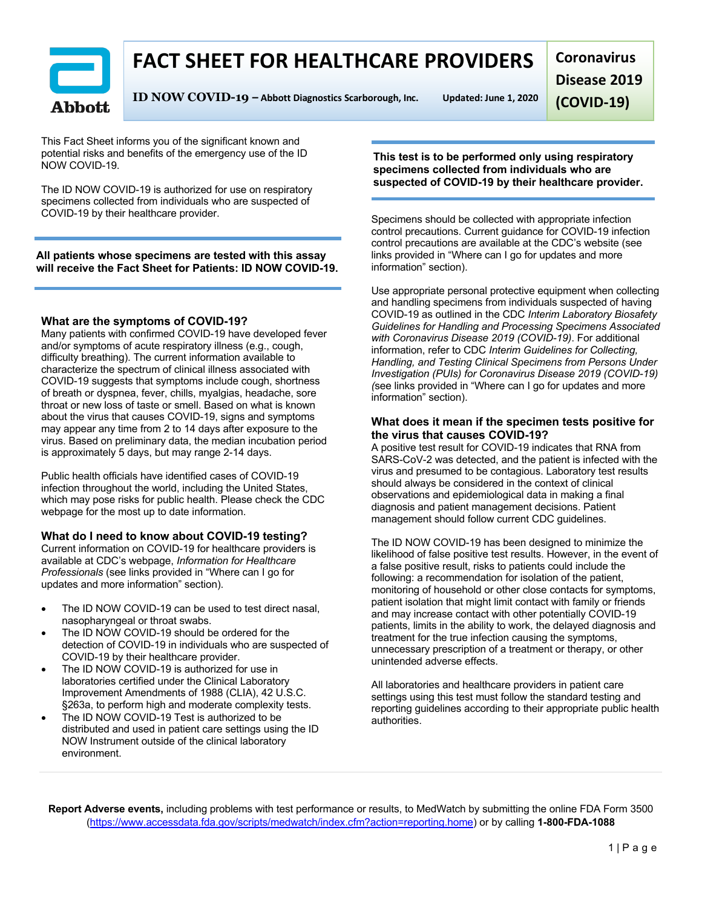# **FACT SHEET FOR HEALTHCARE PROVIDERS**



**ID NOW COVID-19 – Abbott Diagnostics Scarborough, Inc. Updated: June 1, 2020**

**Coronavirus Disease 2019 (COVID-19)**

This Fact Sheet informs you of the significant known and potential risks and benefits of the emergency use of the ID NOW COVID-19.

The ID NOW COVID-19 is authorized for use on respiratory specimens collected from individuals who are suspected of COVID-19 by their healthcare provider.

**All patients whose specimens are tested with this assay will receive the Fact Sheet for Patients: ID NOW COVID-19.**

#### **What are the symptoms of COVID-19?**

Many patients with confirmed COVID-19 have developed fever and/or symptoms of acute respiratory illness (e.g., cough, difficulty breathing). The current information available to characterize the spectrum of clinical illness associated with COVID-19 suggests that symptoms include cough, shortness of breath or dyspnea, fever, chills, myalgias, headache, sore throat or new loss of taste or smell. Based on what is known about the virus that causes COVID-19, signs and symptoms may appear any time from 2 to 14 days after exposure to the virus. Based on preliminary data, the median incubation period is approximately 5 days, but may range 2-14 days.

Public health officials have identified cases of COVID-19 infection throughout the world, including the United States, which may pose risks for public health. Please check the CDC webpage for the most up to date information.

#### **What do I need to know about COVID-19 testing?**

Current information on COVID-19 for healthcare providers is available at CDC's webpage, *Information for Healthcare Professionals* (see links provided in "Where can I go for updates and more information" section).

- The ID NOW COVID-19 can be used to test direct nasal. nasopharyngeal or throat swabs.
- The ID NOW COVID-19 should be ordered for the detection of COVID-19 in individuals who are suspected of COVID-19 by their healthcare provider.
- The ID NOW COVID-19 is authorized for use in laboratories certified under the Clinical Laboratory Improvement Amendments of 1988 (CLIA), 42 U.S.C. §263a, to perform high and moderate complexity tests.
- The ID NOW COVID-19 Test is authorized to be distributed and used in patient care settings using the ID NOW Instrument outside of the clinical laboratory environment.

**This test is to be performed only using respiratory specimens collected from individuals who are suspected of COVID-19 by their healthcare provider.**

Specimens should be collected with appropriate infection control precautions. Current guidance for COVID-19 infection control precautions are available at the CDC's website (see links provided in "Where can I go for updates and more information" section).

Use appropriate personal protective equipment when collecting and handling specimens from individuals suspected of having COVID-19 as outlined in the CDC *Interim Laboratory Biosafety Guidelines for Handling and Processing Specimens Associated with Coronavirus Disease 2019 (COVID-19)*. For additional information, refer to CDC *Interim Guidelines for Collecting, Handling, and Testing Clinical Specimens from Persons Under Investigation (PUIs) for Coronavirus Disease 2019 (COVID-19) (*see links provided in "Where can I go for updates and more information" section).

#### **What does it mean if the specimen tests positive for the virus that causes COVID-19?**

A positive test result for COVID-19 indicates that RNA from SARS-CoV-2 was detected, and the patient is infected with the virus and presumed to be contagious. Laboratory test results should always be considered in the context of clinical observations and epidemiological data in making a final diagnosis and patient management decisions. Patient management should follow current CDC guidelines.

The ID NOW COVID-19 has been designed to minimize the likelihood of false positive test results. However, in the event of a false positive result, risks to patients could include the following: a recommendation for isolation of the patient, monitoring of household or other close contacts for symptoms, patient isolation that might limit contact with family or friends and may increase contact with other potentially COVID-19 patients, limits in the ability to work, the delayed diagnosis and treatment for the true infection causing the symptoms, unnecessary prescription of a treatment or therapy, or other unintended adverse effects.

All laboratories and healthcare providers in patient care settings using this test must follow the standard testing and reporting guidelines according to their appropriate public health authorities.

**Report Adverse events,** including problems with test performance or results, to MedWatch by submitting the online FDA Form 3500 (https://www.accessdata.fda.gov/scripts/medwatch/index.cfm?action=reporting.home) or by calling **1-800-FDA-1088**